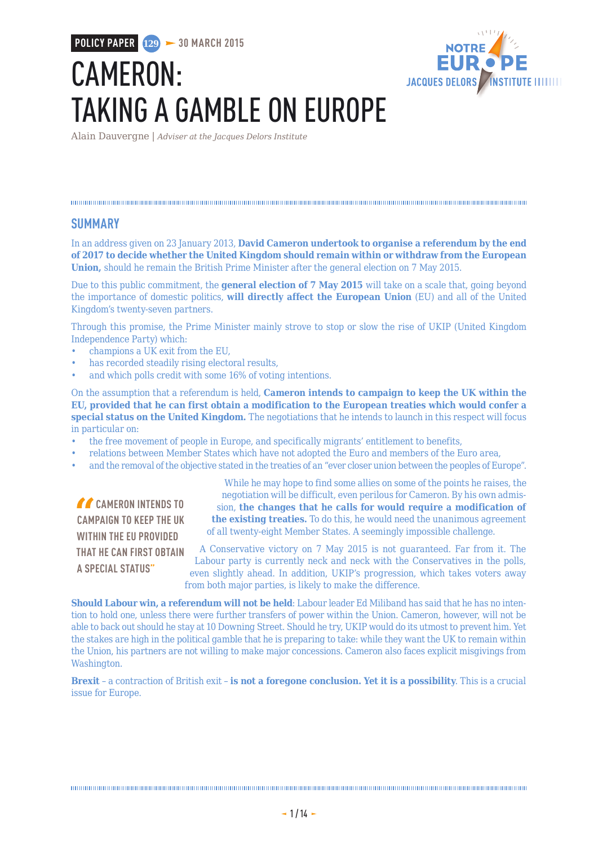**POLICY PAPER 129 30 MARCH 2015**

# CAMERON: TAKING A GAMBLE ON EUROPE



Alain Dauvergne | *Adviser at the Jacques Delors Institute*

#### 

#### **SUMMARY**

In an address given on 23 January 2013, **David Cameron undertook to organise a referendum by the end of 2017 to decide whether the United Kingdom should remain within or withdraw from the European Union,** should he remain the British Prime Minister after the general election on 7 May 2015.

Due to this public commitment, the **general election of 7 May 2015** will take on a scale that, going beyond the importance of domestic politics, **will directly affect the European Union** (EU) and all of the United Kingdom's twenty-seven partners.

Through this promise, the Prime Minister mainly strove to stop or slow the rise of UKIP (United Kingdom Independence Party) which:

- champions a UK exit from the EU,
- has recorded steadily rising electoral results,
- and which polls credit with some 16% of voting intentions.

On the assumption that a referendum is held, **Cameron intends to campaign to keep the UK within the EU, provided that he can first obtain a modification to the European treaties which would confer a special status on the United Kingdom.** The negotiations that he intends to launch in this respect will focus in particular on:

- the free movement of people in Europe, and specifically migrants' entitlement to benefits,
- relations between Member States which have not adopted the Euro and members of the Euro area,
- and the removal of the objective stated in the treaties of an "ever closer union between the peoples of Europe".

**CAMERON INTENDS TO CAMPAIGN TO KEEP THE UK WITHIN THE EU PROVIDED THAT HE CAN FIRST OBTAIN A SPECIAL STATUS"**

While he may hope to find some allies on some of the points he raises, the negotiation will be difficult, even perilous for Cameron. By his own admission, **the changes that he calls for would require a modification of the existing treaties.** To do this, he would need the unanimous agreement of all twenty-eight Member States. A seemingly impossible challenge.

A Conservative victory on 7 May 2015 is not guaranteed. Far from it. The Labour party is currently neck and neck with the Conservatives in the polls, even slightly ahead. In addition, UKIP's progression, which takes voters away from both major parties, is likely to make the difference.

**Should Labour win, a referendum will not be held**: Labour leader Ed Miliband has said that he has no intention to hold one, unless there were further transfers of power within the Union. Cameron, however, will not be able to back out should he stay at 10 Downing Street. Should he try, UKIP would do its utmost to prevent him. Yet the stakes are high in the political gamble that he is preparing to take: while they want the UK to remain within the Union, his partners are not willing to make major concessions. Cameron also faces explicit misgivings from Washington.

**Brexit** – a contraction of British exit – **is not a foregone conclusion. Yet it is a possibility**. This is a crucial issue for Europe.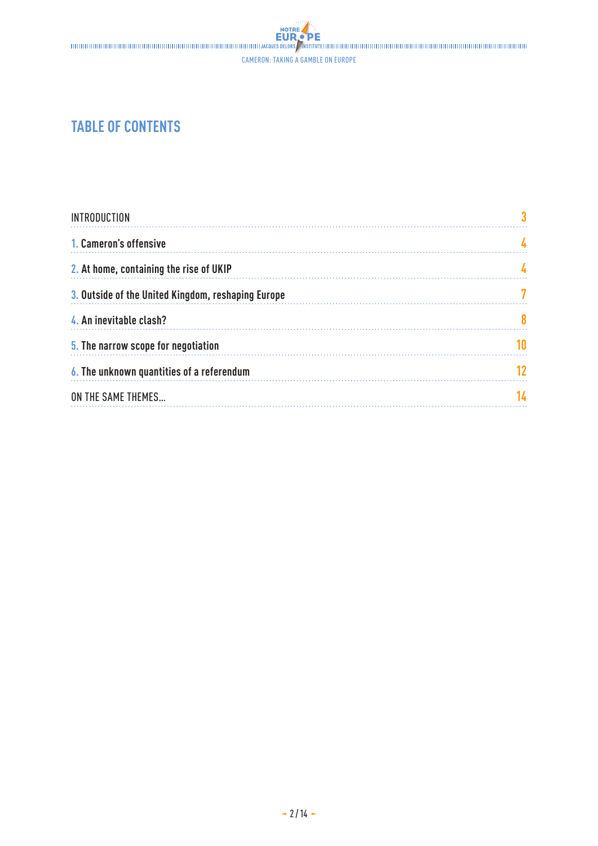# 

Cameron: taking a gamble on Europe

### **TABLE OF CONTENTS**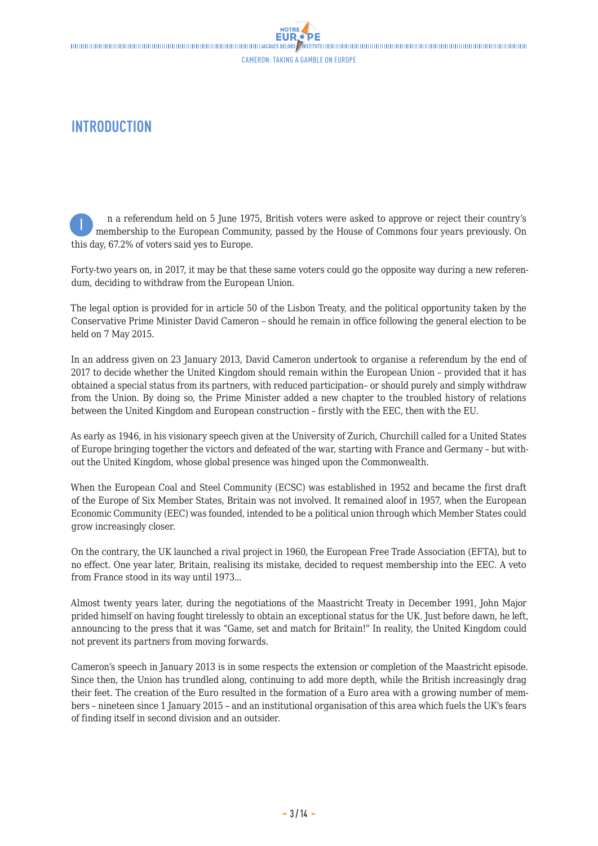### <span id="page-2-0"></span>**INTRODUCTION**

n a referendum held on 5 June 1975, British voters were asked to approve or reject their country's membership to the European Community, passed by the House of Commons four years previously. On this day, 67.2% of voters said yes to Europe. I

Forty-two years on, in 2017, it may be that these same voters could go the opposite way during a new referendum, deciding to withdraw from the European Union.

The legal option is provided for in article 50 of the Lisbon Treaty, and the political opportunity taken by the Conservative Prime Minister David Cameron – should he remain in office following the general election to be held on 7 May 2015.

In an address given on 23 January 2013, David Cameron undertook to organise a referendum by the end of 2017 to decide whether the United Kingdom should remain within the European Union – provided that it has obtained a special status from its partners, with reduced participation– or should purely and simply withdraw from the Union. By doing so, the Prime Minister added a new chapter to the troubled history of relations between the United Kingdom and European construction – firstly with the EEC, then with the EU.

As early as 1946, in his visionary speech given at the University of Zurich, Churchill called for a United States of Europe bringing together the victors and defeated of the war, starting with France and Germany – but without the United Kingdom, whose global presence was hinged upon the Commonwealth.

When the European Coal and Steel Community (ECSC) was established in 1952 and became the first draft of the Europe of Six Member States, Britain was not involved. It remained aloof in 1957, when the European Economic Community (EEC) was founded, intended to be a political union through which Member States could grow increasingly closer.

On the contrary, the UK launched a rival project in 1960, the European Free Trade Association (EFTA), but to no effect. One year later, Britain, realising its mistake, decided to request membership into the EEC. A veto from France stood in its way until 1973...

Almost twenty years later, during the negotiations of the Maastricht Treaty in December 1991, John Major prided himself on having fought tirelessly to obtain an exceptional status for the UK. Just before dawn, he left, announcing to the press that it was "Game, set and match for Britain!" In reality, the United Kingdom could not prevent its partners from moving forwards.

Cameron's speech in January 2013 is in some respects the extension or completion of the Maastricht episode. Since then, the Union has trundled along, continuing to add more depth, while the British increasingly drag their feet. The creation of the Euro resulted in the formation of a Euro area with a growing number of members – nineteen since 1 January 2015 – and an institutional organisation of this area which fuels the UK's fears of finding itself in second division and an outsider.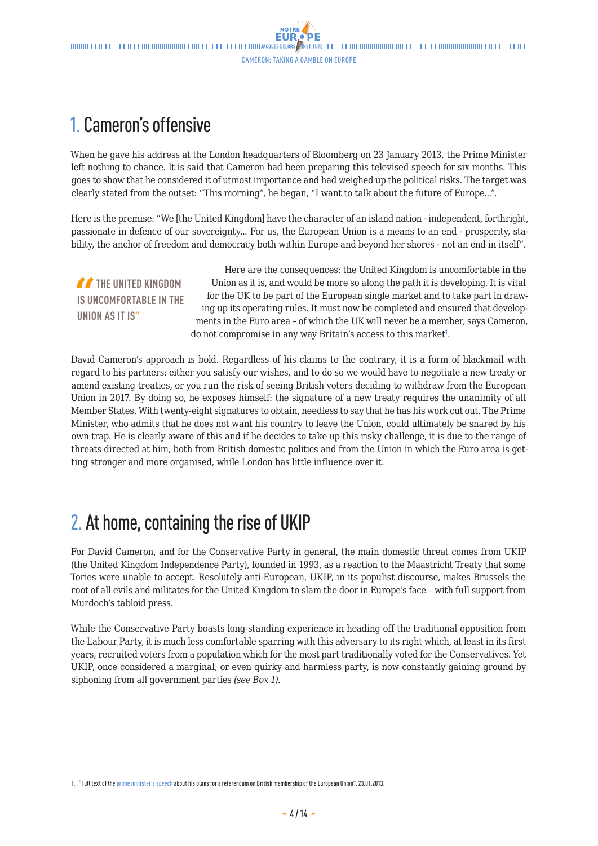## <span id="page-3-0"></span>1. Cameron's offensive

When he gave his address at the London headquarters of Bloomberg on 23 January 2013, the Prime Minister left nothing to chance. It is said that Cameron had been preparing this televised speech for six months. This goes to show that he considered it of utmost importance and had weighed up the political risks. The target was clearly stated from the outset: "This morning", he began, "I want to talk about the future of Europe...".

Here is the premise: "We [the United Kingdom] have the character of an island nation - independent, forthright, passionate in defence of our sovereignty... For us, the European Union is a means to an end - prosperity, stability, the anchor of freedom and democracy both within Europe and beyond her shores - not an end in itself".

*TA* THE UNITED KINGDOM **IS UNCOMFORTABLE IN THE UNION AS IT IS"**

Here are the consequences: the United Kingdom is uncomfortable in the Union as it is, and would be more so along the path it is developing. It is vital for the UK to be part of the European single market and to take part in drawing up its operating rules. It must now be completed and ensured that developments in the Euro area – of which the UK will never be a member, says Cameron, do not compromise in any way Britain's access to this market<sup>1</sup>.

David Cameron's approach is bold. Regardless of his claims to the contrary, it is a form of blackmail with regard to his partners: either you satisfy our wishes, and to do so we would have to negotiate a new treaty or amend existing treaties, or you run the risk of seeing British voters deciding to withdraw from the European Union in 2017. By doing so, he exposes himself: the signature of a new treaty requires the unanimity of all Member States. With twenty-eight signatures to obtain, needless to say that he has his work cut out. The Prime Minister, who admits that he does not want his country to leave the Union, could ultimately be snared by his own trap. He is clearly aware of this and if he decides to take up this risky challenge, it is due to the range of threats directed at him, both from British domestic politics and from the Union in which the Euro area is getting stronger and more organised, while London has little influence over it.

## 2. At home, containing the rise of UKIP

For David Cameron, and for the Conservative Party in general, the main domestic threat comes from UKIP (the United Kingdom Independence Party), founded in 1993, as a reaction to the Maastricht Treaty that some Tories were unable to accept. Resolutely anti-European, UKIP, in its populist discourse, makes Brussels the root of all evils and militates for the United Kingdom to slam the door in Europe's face – with full support from Murdoch's tabloid press.

While the Conservative Party boasts long-standing experience in heading off the traditional opposition from the Labour Party, it is much less comfortable sparring with this adversary to its right which, at least in its first years, recruited voters from a population which for the most part traditionally voted for the Conservatives. Yet UKIP, once considered a marginal, or even quirky and harmless party, is now constantly gaining ground by siphoning from all government parties *(see Box 1)*.

**<sup>1.</sup>** "Full text of the [prime minister's speech](http://www.theguardian.com/politics/2013/jan/23/david-cameron-eu-speech-referendum) about his plans for a referendum on British membership of the European Union", 23.01.2013.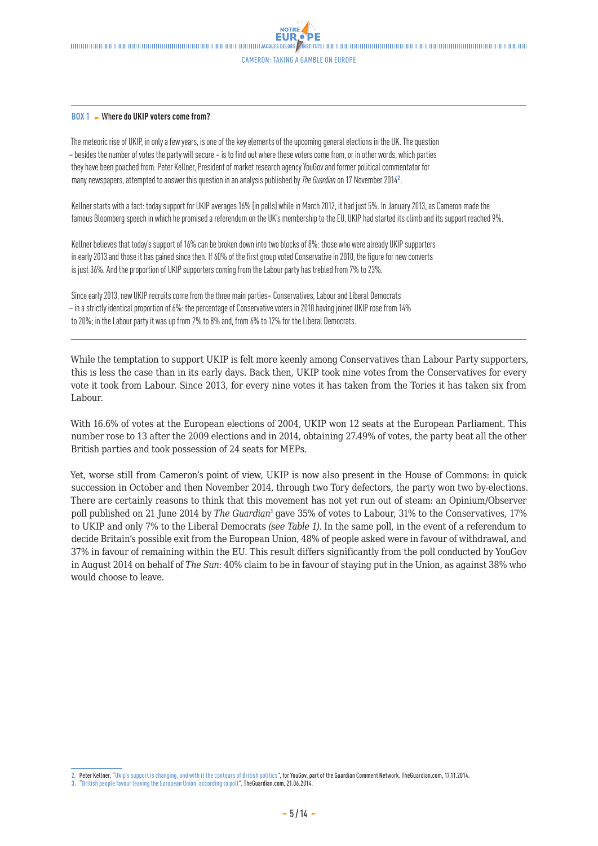

#### **BOX 1** Wh**ere do UKIP voters come from?**

The meteoric rise of UKIP, in only a few years, is one of the key elements of the upcoming general elections in the UK. The question – besides the number of votes the party will secure – is to find out where these voters come from, or in other words, which parties they have been poached from. Peter Kellner, President of market research agency YouGov and former political commentator for many newspapers, attempted to answer this question in an analysis published by *The Guardian* on 17 November 2014<sup>2</sup> .

Kellner starts with a fact: today support for UKIP averages 16% (in polls) while in March 2012, it had just 5%. In January 2013, as Cameron made the famous Bloomberg speech in which he promised a referendum on the UK's membership to the EU, UKIP had started its climb and its support reached 9%.

Kellner believes that today's support of 16% can be broken down into two blocks of 8%: those who were already UKIP supporters in early 2013 and those it has gained since then. If 60% of the first group voted Conservative in 2010, the figure for new converts is just 36%. And the proportion of UKIP supporters coming from the Labour party has trebled from 7% to 23%.

Since early 2013, new UKIP recruits come from the three main parties– Conservatives, Labour and Liberal Democrats – in a strictly identical proportion of 6%: the percentage of Conservative voters in 2010 having joined UKIP rose from 14% to 20%; in the Labour party it was up from 2% to 8% and, from 6% to 12% for the Liberal Democrats.

While the temptation to support UKIP is felt more keenly among Conservatives than Labour Party supporters, this is less the case than in its early days. Back then, UKIP took nine votes from the Conservatives for every vote it took from Labour. Since 2013, for every nine votes it has taken from the Tories it has taken six from Labour.

With 16.6% of votes at the European elections of 2004, UKIP won 12 seats at the European Parliament. This number rose to 13 after the 2009 elections and in 2014, obtaining 27.49% of votes, the party beat all the other British parties and took possession of 24 seats for MEPs.

Yet, worse still from Cameron's point of view, UKIP is now also present in the House of Commons: in quick succession in October and then November 2014, through two Tory defectors, the party won two by-elections. There are certainly reasons to think that this movement has not yet run out of steam: an Opinium/Observer poll published on 21 June 2014 by The Guardian<sup>3</sup> gave 35% of votes to Labour, 31% to the Conservatives, 17% to UKIP and only 7% to the Liberal Democrats *(see Table 1)*. In the same poll, in the event of a referendum to decide Britain's possible exit from the European Union, 48% of people asked were in favour of withdrawal, and 37% in favour of remaining within the EU. This result differs significantly from the poll conducted by YouGov in August 2014 on behalf of *The Sun*: 40% claim to be in favour of staying put in the Union, as against 38% who would choose to leave.

**<sup>2.</sup>** Peter Kellner, "[Ukip's support is changing, and with it the contours of British politics](http://www.theguardian.com/commentisfree/2014/nov/17/ukip-support-british-politics-voters-labour-party)", for YouGov, part of the Guardian Comment Network, TheGuardian.com, 17.11.2014.

**<sup>3.</sup>** "[British people favour leaving the European Union, according to poll"](http://www.theguardian.com/politics/2014/jun/21/eu-referendum-majority-leave-opinium-observer-poll), TheGuardian.com, 21.06.2014.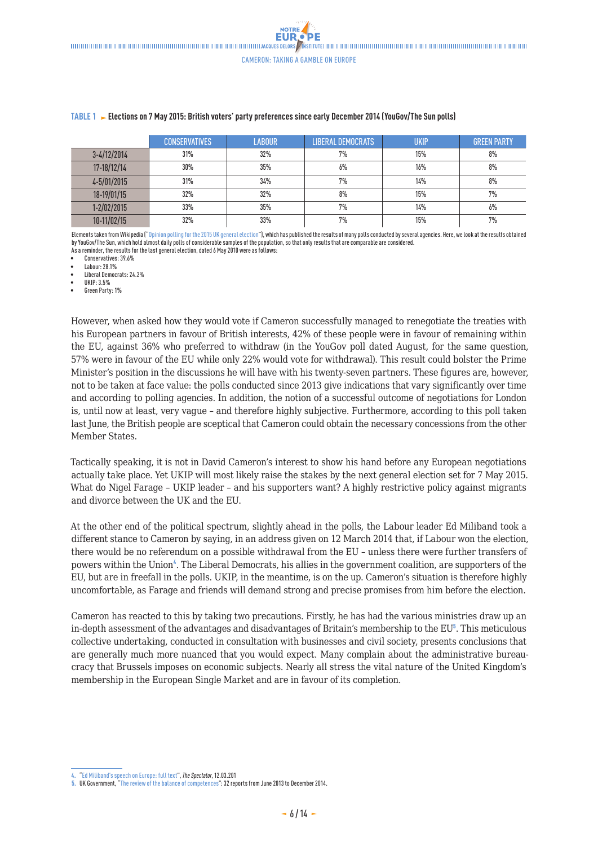**NOTRE** 

|               | <b>CONSERVATIVES</b> | <b>LABOUR</b> | <b>LIBERAL DEMOCRATS</b> | UKIP | <b>GREEN PARTY</b> |
|---------------|----------------------|---------------|--------------------------|------|--------------------|
| $3-4/12/2014$ | 31%                  | 32%           | 7%                       | 15%  | 8%                 |
| 17-18/12/14   | 30%                  | 35%           | 6%                       | 16%  | 8%                 |
| 4-5/01/2015   | 31%                  | 34%           | 7%                       | 14%  | 8%                 |
| 18-19/01/15   | 32%                  | 32%           | 8%                       | 15%  | 7%                 |
| 1-2/02/2015   | 33%                  | 35%           | 7%                       | 14%  | 6%                 |
| 10-11/02/15   | 32%                  | 33%           | 7%                       | 15%  | 7%                 |

#### **TABLE 1 Elections on 7 May 2015: British voters' party preferences since early December 2014 (YouGov/The Sun polls)**

Elements taken from Wikipedia ("[Opinion polling for the 2015 UK general election](http://en.wikipedia.org/wiki/Opinion_polling_for_the_2015_United_Kingdom_general_election)"), which has published the results of many polls conducted by several agencies. Here, we look at the results obtained by YouGov/The Sun, which hold almost daily polls of considerable samples of the population, so that only results that are comparable are considered. As a reminder, the results for the last general election, dated 6 May 2010 were as follows:

• Conservatives: 39.6%

• Labour: 28.1%

• Liberal Democrats: 24.2%

• UKIP: 3.5%

• Green Party: 1%

However, when asked how they would vote if Cameron successfully managed to renegotiate the treaties with his European partners in favour of British interests, 42% of these people were in favour of remaining within the EU, against 36% who preferred to withdraw (in the YouGov poll dated August, for the same question, 57% were in favour of the EU while only 22% would vote for withdrawal). This result could bolster the Prime Minister's position in the discussions he will have with his twenty-seven partners. These figures are, however, not to be taken at face value: the polls conducted since 2013 give indications that vary significantly over time and according to polling agencies. In addition, the notion of a successful outcome of negotiations for London is, until now at least, very vague – and therefore highly subjective. Furthermore, according to this poll taken last June, the British people are sceptical that Cameron could obtain the necessary concessions from the other Member States.

Tactically speaking, it is not in David Cameron's interest to show his hand before any European negotiations actually take place. Yet UKIP will most likely raise the stakes by the next general election set for 7 May 2015. What do Nigel Farage – UKIP leader – and his supporters want? A highly restrictive policy against migrants and divorce between the UK and the EU.

At the other end of the political spectrum, slightly ahead in the polls, the Labour leader Ed Miliband took a different stance to Cameron by saying, in an address given on 12 March 2014 that, if Labour won the election, there would be no referendum on a possible withdrawal from the EU – unless there were further transfers of powers within the Union<sup>4</sup>. The Liberal Democrats, his allies in the government coalition, are supporters of the EU, but are in freefall in the polls. UKIP, in the meantime, is on the up. Cameron's situation is therefore highly uncomfortable, as Farage and friends will demand strong and precise promises from him before the election.

Cameron has reacted to this by taking two precautions. Firstly, he has had the various ministries draw up an in-depth assessment of the advantages and disadvantages of Britain's membership to the  $EU<sup>5</sup>$ . This meticulous collective undertaking, conducted in consultation with businesses and civil society, presents conclusions that are generally much more nuanced that you would expect. Many complain about the administrative bureaucracy that Brussels imposes on economic subjects. Nearly all stress the vital nature of the United Kingdom's membership in the European Single Market and are in favour of its completion.

**<sup>4.</sup>** "[Ed Miliband's speech on Europe: full text"](http://blogs.spectator.co.uk/coffeehouse/2014/03/ed-milibands-speech-on-europe-full-text/), *The Spectator*, 12.03.201

**<sup>5.</sup>** UK Government, "[The review of the balance of competences"](https://www.gov.uk/review-of-the-balance-of-competences): 32 reports from June 2013 to December 2014.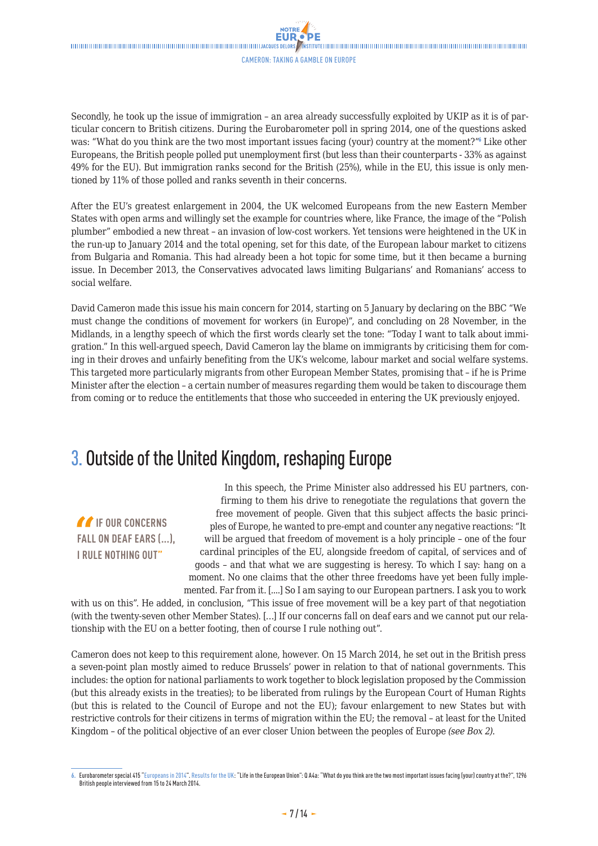<span id="page-6-0"></span>

Secondly, he took up the issue of immigration – an area already successfully exploited by UKIP as it is of particular concern to British citizens. During the Eurobarometer poll in spring 2014, one of the questions asked was: "What do you think are the two most important issues facing (your) country at the moment?" Like other Europeans, the British people polled put unemployment first (but less than their counterparts - 33% as against 49% for the EU). But immigration ranks second for the British (25%), while in the EU, this issue is only mentioned by 11% of those polled and ranks seventh in their concerns.

After the EU's greatest enlargement in 2004, the UK welcomed Europeans from the new Eastern Member States with open arms and willingly set the example for countries where, like France, the image of the "Polish plumber" embodied a new threat – an invasion of low-cost workers. Yet tensions were heightened in the UK in the run-up to January 2014 and the total opening, set for this date, of the European labour market to citizens from Bulgaria and Romania. This had already been a hot topic for some time, but it then became a burning issue. In December 2013, the Conservatives advocated laws limiting Bulgarians' and Romanians' access to social welfare.

David Cameron made this issue his main concern for 2014, starting on 5 January by declaring on the BBC "We must change the conditions of movement for workers (in Europe)", and concluding on 28 November, in the Midlands, in a lengthy speech of which the first words clearly set the tone: "Today I want to talk about immigration." In this well-argued speech, David Cameron lay the blame on immigrants by criticising them for coming in their droves and unfairly benefiting from the UK's welcome, labour market and social welfare systems. This targeted more particularly migrants from other European Member States, promising that – if he is Prime Minister after the election – a certain number of measures regarding them would be taken to discourage them from coming or to reduce the entitlements that those who succeeded in entering the UK previously enjoyed.

### 3. Outside of the United Kingdom, reshaping Europe

*If* IF OUR CONCERNS **FALL ON DEAF EARS (...), I RULE NOTHING OUT"**

In this speech, the Prime Minister also addressed his EU partners, confirming to them his drive to renegotiate the regulations that govern the free movement of people. Given that this subject affects the basic principles of Europe, he wanted to pre-empt and counter any negative reactions: "It will be argued that freedom of movement is a holy principle – one of the four cardinal principles of the EU, alongside freedom of capital, of services and of goods – and that what we are suggesting is heresy. To which I say: hang on a moment. No one claims that the other three freedoms have yet been fully implemented. Far from it. [....] So I am saying to our European partners. I ask you to work

with us on this". He added, in conclusion, "This issue of free movement will be a key part of that negotiation (with the twenty-seven other Member States). […] If our concerns fall on deaf ears and we cannot put our relationship with the EU on a better footing, then of course I rule nothing out".

Cameron does not keep to this requirement alone, however. On 15 March 2014, he set out in the British press a seven-point plan mostly aimed to reduce Brussels' power in relation to that of national governments. This includes: the option for national parliaments to work together to block legislation proposed by the Commission (but this already exists in the treaties); to be liberated from rulings by the European Court of Human Rights (but this is related to the Council of Europe and not the EU); favour enlargement to new States but with restrictive controls for their citizens in terms of migration within the EU; the removal – at least for the United Kingdom – of the political objective of an ever closer Union between the peoples of Europe *(see Box 2)*.

**<sup>6.</sup>** Eurobarometer special 415 "[Europeans in 2014"](http://ec.europa.eu/public_opinion/archives/ebs/ebs_415_data_en.pdf). [Results for the UK](http://ec.europa.eu/public_opinion/archives/ebs/ebs_415_fact_uk_en.pdf): "Life in the European Union": Q A4a: "What do you think are the two most important issues facing (your) country at the?", 1296 British people interviewed from 15 to 24 March 2014.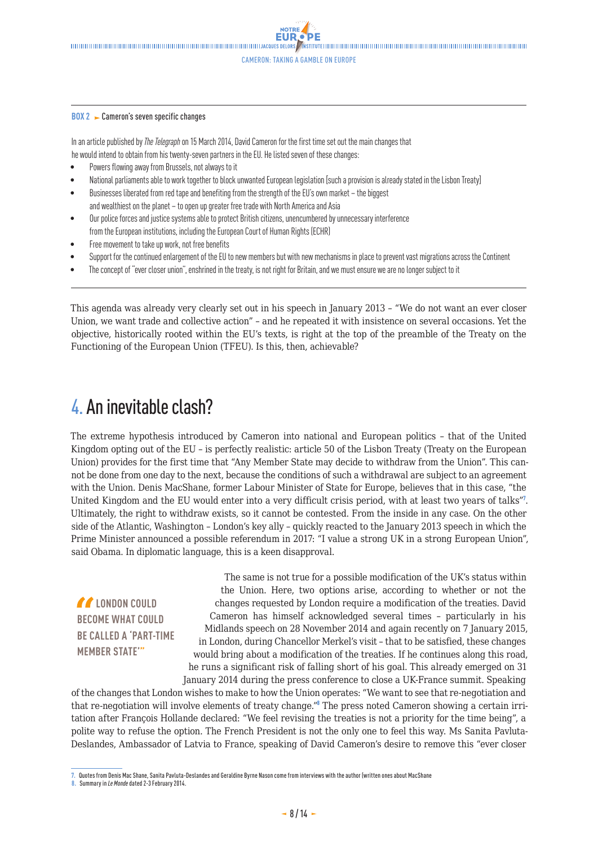#### <span id="page-7-0"></span>**BOX 2** Cameron's seven specific changes

In an article published by *The Telegraph* on 15 March 2014, David Cameron for the first time set out the main changes that he would intend to obtain from his twenty-seven partners in the EU. He listed seven of these changes:

- Powers flowing away from Brussels, not always to it
- National parliaments able to work together to block unwanted European legislation [such a provision is already stated in the Lisbon Treaty]
- Businesses liberated from red tape and benefiting from the strength of the EU's own market the biggest and wealthiest on the planet – to open up greater free trade with North America and Asia
- Our police forces and justice systems able to protect British citizens, unencumbered by unnecessary interference from the European institutions, including the European Court of Human Rights (ECHR)
- Free movement to take up work, not free benefits
- Support for the continued enlargement of the EU to new members but with new mechanisms in place to prevent vast migrations across the Continent
- The concept of "ever closer union", enshrined in the treaty, is not right for Britain, and we must ensure we are no longer subject to it

This agenda was already very clearly set out in his speech in January 2013 – "We do not want an ever closer Union, we want trade and collective action" – and he repeated it with insistence on several occasions. Yet the objective, historically rooted within the EU's texts, is right at the top of the preamble of the Treaty on the Functioning of the European Union (TFEU). Is this, then, achievable?

### 4. An inevitable clash?

The extreme hypothesis introduced by Cameron into national and European politics – that of the United Kingdom opting out of the EU – is perfectly realistic: article 50 of the Lisbon Treaty (Treaty on the European Union) provides for the first time that "Any Member State may decide to withdraw from the Union". This cannot be done from one day to the next, because the conditions of such a withdrawal are subject to an agreement with the Union. Denis MacShane, former Labour Minister of State for Europe, believes that in this case, "the United Kingdom and the EU would enter into a very difficult crisis period, with at least two years of talks"<sup>7</sup>. Ultimately, the right to withdraw exists, so it cannot be contested. From the inside in any case. On the other side of the Atlantic, Washington – London's key ally – quickly reacted to the January 2013 speech in which the Prime Minister announced a possible referendum in 2017: "I value a strong UK in a strong European Union", said Obama. In diplomatic language, this is a keen disapproval.

 **LONDON COULD BECOME WHAT COULD BE CALLED A 'PART-TIME MEMBER STATE'"**

The same is not true for a possible modification of the UK's status within the Union. Here, two options arise, according to whether or not the changes requested by London require a modification of the treaties. David Cameron has himself acknowledged several times – particularly in his Midlands speech on 28 November 2014 and again recently on 7 January 2015, in London, during Chancellor Merkel's visit – that to be satisfied, these changes would bring about a modification of the treaties. If he continues along this road, he runs a significant risk of falling short of his goal. This already emerged on 31 January 2014 during the press conference to close a UK-France summit. Speaking

of the changes that London wishes to make to how the Union operates: "We want to see that re-negotiation and that re-negotiation will involve elements of treaty change."<sup>8</sup> The press noted Cameron showing a certain irritation after François Hollande declared: "We feel revising the treaties is not a priority for the time being", a polite way to refuse the option. The French President is not the only one to feel this way. Ms Sanita Pavluta-Deslandes, Ambassador of Latvia to France, speaking of David Cameron's desire to remove this "ever closer

**8.** Summary in *Le Monde* dated 2-3 February 2014.

**<sup>7.</sup>** Quotes from Denis Mac Shane, Sanita Pavluta-Deslandes and Geraldine Byrne Nason come from interviews with the author (written ones about MacShane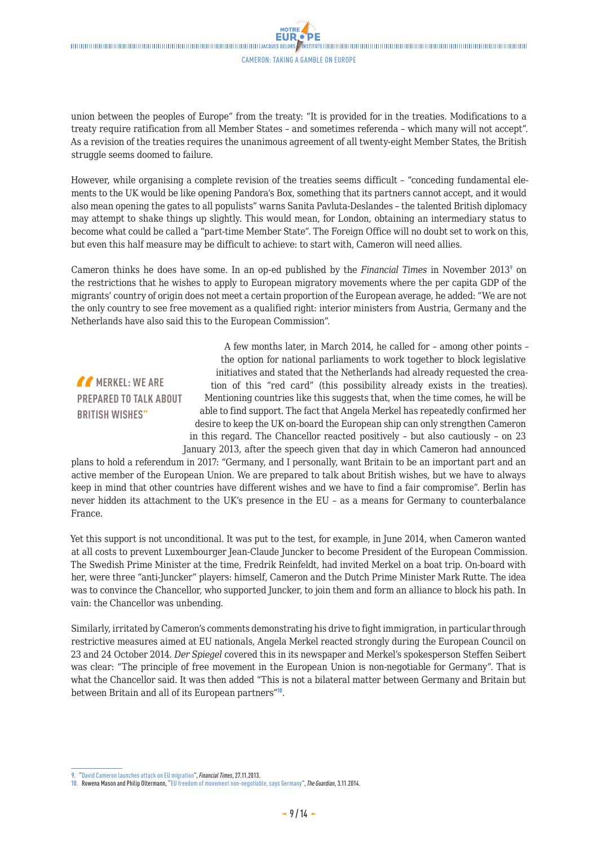union between the peoples of Europe" from the treaty: "It is provided for in the treaties. Modifications to a treaty require ratification from all Member States – and sometimes referenda – which many will not accept". As a revision of the treaties requires the unanimous agreement of all twenty-eight Member States, the British struggle seems doomed to failure.

However, while organising a complete revision of the treaties seems difficult – "conceding fundamental elements to the UK would be like opening Pandora's Box, something that its partners cannot accept, and it would also mean opening the gates to all populists" warns Sanita Pavluta-Deslandes – the talented British diplomacy may attempt to shake things up slightly. This would mean, for London, obtaining an intermediary status to become what could be called a "part-time Member State". The Foreign Office will no doubt set to work on this, but even this half measure may be difficult to achieve: to start with, Cameron will need allies.

Cameron thinks he does have some. In an op-ed published by the *Financial Times* in November 2013<sup>9</sup> on the restrictions that he wishes to apply to European migratory movements where the per capita GDP of the migrants' country of origin does not meet a certain proportion of the European average, he added: "We are not the only country to see free movement as a qualified right: interior ministers from Austria, Germany and the Netherlands have also said this to the European Commission".

### *MERKEL: WE ARE* **PREPARED TO TALK ABOUT BRITISH WISHES"**

A few months later, in March 2014, he called for – among other points – the option for national parliaments to work together to block legislative initiatives and stated that the Netherlands had already requested the creation of this "red card" (this possibility already exists in the treaties). Mentioning countries like this suggests that, when the time comes, he will be able to find support. The fact that Angela Merkel has repeatedly confirmed her desire to keep the UK on-board the European ship can only strengthen Cameron in this regard. The Chancellor reacted positively – but also cautiously – on 23 January 2013, after the speech given that day in which Cameron had announced

plans to hold a referendum in 2017: "Germany, and I personally, want Britain to be an important part and an active member of the European Union. We are prepared to talk about British wishes, but we have to always keep in mind that other countries have different wishes and we have to find a fair compromise". Berlin has never hidden its attachment to the UK's presence in the EU – as a means for Germany to counterbalance France.

Yet this support is not unconditional. It was put to the test, for example, in June 2014, when Cameron wanted at all costs to prevent Luxembourger Jean-Claude Juncker to become President of the European Commission. The Swedish Prime Minister at the time, Fredrik Reinfeldt, had invited Merkel on a boat trip. On-board with her, were three "anti-Juncker" players: himself, Cameron and the Dutch Prime Minister Mark Rutte. The idea was to convince the Chancellor, who supported Juncker, to join them and form an alliance to block his path. In vain: the Chancellor was unbending.

Similarly, irritated by Cameron's comments demonstrating his drive to fight immigration, in particular through restrictive measures aimed at EU nationals, Angela Merkel reacted strongly during the European Council on 23 and 24 October 2014. *Der Spiegel* covered this in its newspaper and Merkel's spokesperson Steffen Seibert was clear: "The principle of free movement in the European Union is non-negotiable for Germany". That is what the Chancellor said. It was then added "This is not a bilateral matter between Germany and Britain but between Britain and all of its European partners"<sup>10</sup>.

**<sup>9.</sup>** ["David Cameron launches attack on EU migration](http://www.ft.com/cms/s/0/b2b10574-56c3-11e3-ab12-00144feabdc0.html#axzz3Tc6Trqfp)", *Financial Times*, 27.11.2013.

**<sup>10.</sup>** Rowena Mason and Philip Oltermann, ["EU freedom of movement non-negotiable, says Germany"](http://www.theguardian.com/world/2014/nov/03/eu-freedom-of-movement-non-negotiable-germany), *The Guardian*, 3.11.2014.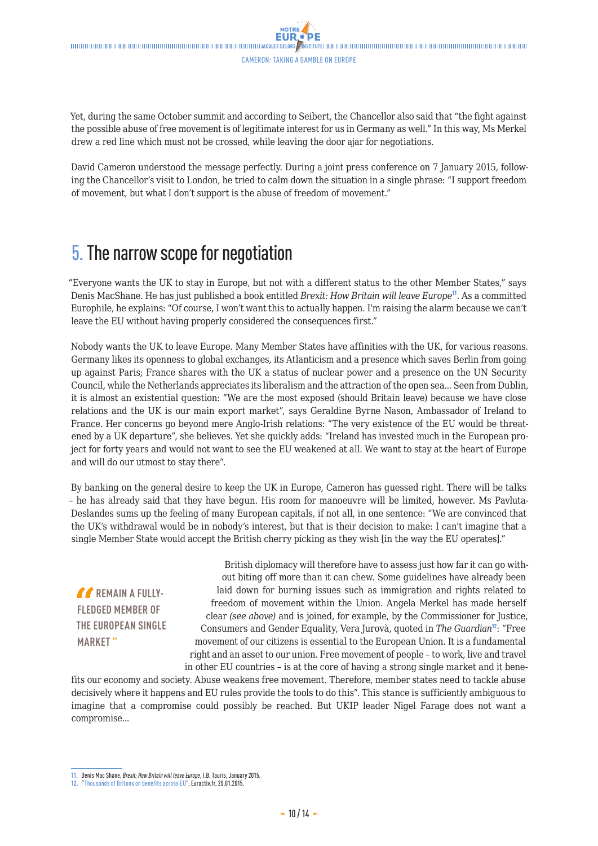<span id="page-9-0"></span>Yet, during the same October summit and according to Seibert, the Chancellor also said that "the fight against the possible abuse of free movement is of legitimate interest for us in Germany as well." In this way, Ms Merkel drew a red line which must not be crossed, while leaving the door ajar for negotiations.

David Cameron understood the message perfectly. During a joint press conference on 7 January 2015, following the Chancellor's visit to London, he tried to calm down the situation in a single phrase: "I support freedom of movement, but what I don't support is the abuse of freedom of movement."

### 5. The narrow scope for negotiation

"Everyone wants the UK to stay in Europe, but not with a different status to the other Member States," says Denis MacShane. He has just published a book entitled *Brexit: How Britain will leave Europe*<sup>11</sup>. As a committed Europhile, he explains: "Of course, I won't want this to actually happen. I'm raising the alarm because we can't leave the EU without having properly considered the consequences first."

Nobody wants the UK to leave Europe. Many Member States have affinities with the UK, for various reasons. Germany likes its openness to global exchanges, its Atlanticism and a presence which saves Berlin from going up against Paris; France shares with the UK a status of nuclear power and a presence on the UN Security Council, while the Netherlands appreciates its liberalism and the attraction of the open sea... Seen from Dublin, it is almost an existential question: "We are the most exposed (should Britain leave) because we have close relations and the UK is our main export market", says Geraldine Byrne Nason, Ambassador of Ireland to France. Her concerns go beyond mere Anglo-Irish relations: "The very existence of the EU would be threatened by a UK departure", she believes. Yet she quickly adds: "Ireland has invested much in the European project for forty years and would not want to see the EU weakened at all. We want to stay at the heart of Europe and will do our utmost to stay there".

By banking on the general desire to keep the UK in Europe, Cameron has guessed right. There will be talks – he has already said that they have begun. His room for manoeuvre will be limited, however. Ms Pavluta-Deslandes sums up the feeling of many European capitals, if not all, in one sentence: "We are convinced that the UK's withdrawal would be in nobody's interest, but that is their decision to make: I can't imagine that a single Member State would accept the British cherry picking as they wish [in the way the EU operates]."

*A* REMAIN A FULLY-**FLEDGED MEMBER OF THE EUROPEAN SINGLE MARKET "**

British diplomacy will therefore have to assess just how far it can go without biting off more than it can chew. Some guidelines have already been laid down for burning issues such as immigration and rights related to freedom of movement within the Union. Angela Merkel has made herself clear *(see above)* and is joined, for example, by the Commissioner for Justice, Consumers and Gender Equality, Vera Jurovà, quoted in *The Guardian*<sup>12</sup>: "Free movement of our citizens is essential to the European Union. It is a fundamental right and an asset to our union. Free movement of people – to work, live and travel in other EU countries – is at the core of having a strong single market and it bene-

fits our economy and society. Abuse weakens free movement. Therefore, member states need to tackle abuse decisively where it happens and EU rules provide the tools to do this". This stance is sufficiently ambiguous to imagine that a compromise could possibly be reached. But UKIP leader Nigel Farage does not want a compromise...

**<sup>11.</sup>** Denis Mac Shane, *Brexit: How Britain will leave Europe*, I.B. Tauris, January 2015.

**<sup>12.</sup>** "[Thousands of Britons on benefits across EU](http://www.euractiv.com/sections/uk-europe/thousands-britons-benefits-across-eu-311396)", Euractiv.fr, 20.01.2015.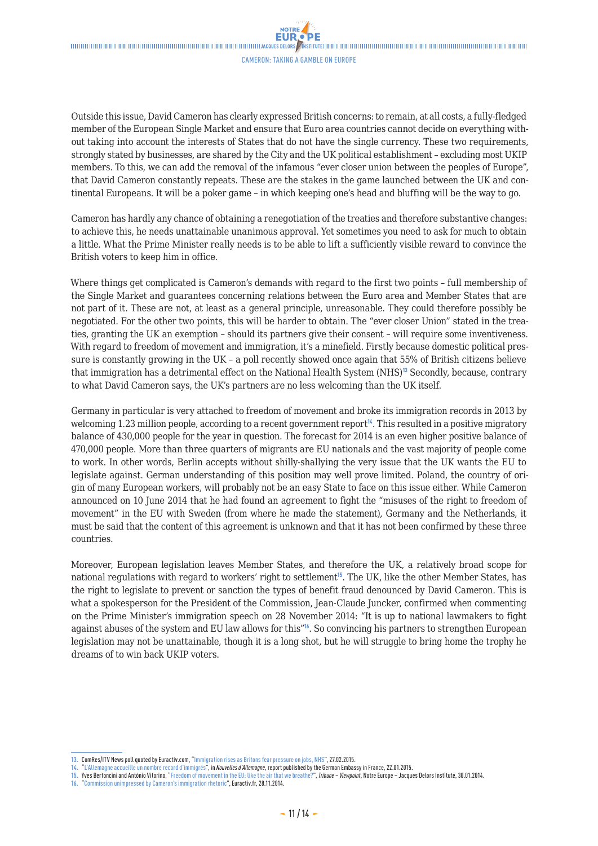**NOTRE** 

Outside this issue, David Cameron has clearly expressed British concerns: to remain, at all costs, a fully-fledged member of the European Single Market and ensure that Euro area countries cannot decide on everything without taking into account the interests of States that do not have the single currency. These two requirements, strongly stated by businesses, are shared by the City and the UK political establishment – excluding most UKIP members. To this, we can add the removal of the infamous "ever closer union between the peoples of Europe", that David Cameron constantly repeats. These are the stakes in the game launched between the UK and continental Europeans. It will be a poker game – in which keeping one's head and bluffing will be the way to go.

Cameron has hardly any chance of obtaining a renegotiation of the treaties and therefore substantive changes: to achieve this, he needs unattainable unanimous approval. Yet sometimes you need to ask for much to obtain a little. What the Prime Minister really needs is to be able to lift a sufficiently visible reward to convince the British voters to keep him in office.

Where things get complicated is Cameron's demands with regard to the first two points – full membership of the Single Market and guarantees concerning relations between the Euro area and Member States that are not part of it. These are not, at least as a general principle, unreasonable. They could therefore possibly be negotiated. For the other two points, this will be harder to obtain. The "ever closer Union" stated in the treaties, granting the UK an exemption – should its partners give their consent – will require some inventiveness. With regard to freedom of movement and immigration, it's a minefield. Firstly because domestic political pressure is constantly growing in the UK – a poll recently showed once again that 55% of British citizens believe that immigration has a detrimental effect on the National Health System (NHS)<sup>13</sup> Secondly, because, contrary to what David Cameron says, the UK's partners are no less welcoming than the UK itself.

Germany in particular is very attached to freedom of movement and broke its immigration records in 2013 by welcoming 1.23 million people, according to a recent government report<sup>14</sup>. This resulted in a positive migratory balance of 430,000 people for the year in question. The forecast for 2014 is an even higher positive balance of 470,000 people. More than three quarters of migrants are EU nationals and the vast majority of people come to work. In other words, Berlin accepts without shilly-shallying the very issue that the UK wants the EU to legislate against. German understanding of this position may well prove limited. Poland, the country of origin of many European workers, will probably not be an easy State to face on this issue either. While Cameron announced on 10 June 2014 that he had found an agreement to fight the "misuses of the right to freedom of movement" in the EU with Sweden (from where he made the statement), Germany and the Netherlands, it must be said that the content of this agreement is unknown and that it has not been confirmed by these three countries.

Moreover, European legislation leaves Member States, and therefore the UK, a relatively broad scope for national regulations with regard to workers' right to settlement<sup>15</sup>. The UK, like the other Member States, has the right to legislate to prevent or sanction the types of benefit fraud denounced by David Cameron. This is what a spokesperson for the President of the Commission, Jean-Claude Juncker, confirmed when commenting on the Prime Minister's immigration speech on 28 November 2014: "It is up to national lawmakers to fight against abuses of the system and EU law allows for this"<sup>16</sup>. So convincing his partners to strengthen European legislation may not be unattainable, though it is a long shot, but he will struggle to bring home the trophy he dreams of to win back UKIP voters.

- **15.** Yves Bertoncini and António Vitorino, "[Freedom of movement in the EU: like the air that we breathe?](http://www.delorsinstitute.eu/011-17663-Freedom-of-movement-in-the-EU-like-the-air-that-we-breathe.html)", *Tribune Viewpoint*, Notre Europe Jacques Delors Institute, 30.01.2014.
- **16.** "[Commission unimpressed by Cameron's immigration rhetoric"](http://www.euractiv.com/sections/uk-europe/commission-unimpressed-camerons-immigration-rhetoric-310439), Euractiv.fr, 28.11.2014.

**<sup>13.</sup>** ComRes/ITV News poll quoted by Euractiv.com, ["Immigration rises as Britons fear pressure on jobs, NHS](http://www.euractiv.com/sections/uk-europe/immigration-rises-britons-fear-pressure-jobs-nhs-312462)", 27.02.2015.

**<sup>14.</sup>** "[L'Allemagne accueille un nombre record d'immigrés"](http://www.allemagne.diplo.de/Vertretung/frankreich/fr/__pr/nq/2015-01/2015-01-22-rapport-migration-pm.html), in *Nouvelles d'Allemagne*, report published by the German Embassy in France, 22.01.2015.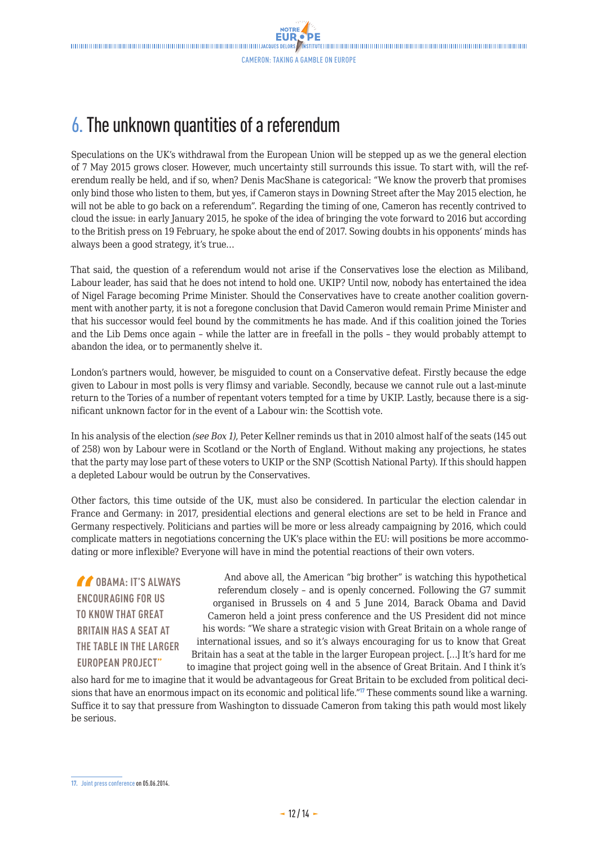# <span id="page-11-0"></span>6. The unknown quantities of a referendum

Speculations on the UK's withdrawal from the European Union will be stepped up as we the general election of 7 May 2015 grows closer. However, much uncertainty still surrounds this issue. To start with, will the referendum really be held, and if so, when? Denis MacShane is categorical: "We know the proverb that promises only bind those who listen to them, but yes, if Cameron stays in Downing Street after the May 2015 election, he will not be able to go back on a referendum". Regarding the timing of one, Cameron has recently contrived to cloud the issue: in early January 2015, he spoke of the idea of bringing the vote forward to 2016 but according to the British press on 19 February, he spoke about the end of 2017. Sowing doubts in his opponents' minds has always been a good strategy, it's true…

That said, the question of a referendum would not arise if the Conservatives lose the election as Miliband, Labour leader, has said that he does not intend to hold one. UKIP? Until now, nobody has entertained the idea of Nigel Farage becoming Prime Minister. Should the Conservatives have to create another coalition government with another party, it is not a foregone conclusion that David Cameron would remain Prime Minister and that his successor would feel bound by the commitments he has made. And if this coalition joined the Tories and the Lib Dems once again – while the latter are in freefall in the polls – they would probably attempt to abandon the idea, or to permanently shelve it.

London's partners would, however, be misguided to count on a Conservative defeat. Firstly because the edge given to Labour in most polls is very flimsy and variable. Secondly, because we cannot rule out a last-minute return to the Tories of a number of repentant voters tempted for a time by UKIP. Lastly, because there is a significant unknown factor for in the event of a Labour win: the Scottish vote.

In his analysis of the election *(see Box 1)*, Peter Kellner reminds us that in 2010 almost half of the seats (145 out of 258) won by Labour were in Scotland or the North of England. Without making any projections, he states that the party may lose part of these voters to UKIP or the SNP (Scottish National Party). If this should happen a depleted Labour would be outrun by the Conservatives.

Other factors, this time outside of the UK, must also be considered. In particular the election calendar in France and Germany: in 2017, presidential elections and general elections are set to be held in France and Germany respectively. Politicians and parties will be more or less already campaigning by 2016, which could complicate matters in negotiations concerning the UK's place within the EU: will positions be more accommodating or more inflexible? Everyone will have in mind the potential reactions of their own voters.

*COBAMA: IT'S ALWAYS* **ENCOURAGING FOR US TO KNOW THAT GREAT BRITAIN HAS A SEAT AT THE TABLE IN THE LARGER EUROPEAN PROJECT"**

And above all, the American "big brother" is watching this hypothetical referendum closely – and is openly concerned. Following the G7 summit organised in Brussels on 4 and 5 June 2014, Barack Obama and David Cameron held a joint press conference and the US President did not mince his words: "We share a strategic vision with Great Britain on a whole range of international issues, and so it's always encouraging for us to know that Great Britain has a seat at the table in the larger European project. […] It's hard for me to imagine that project going well in the absence of Great Britain. And I think it's

also hard for me to imagine that it would be advantageous for Great Britain to be excluded from political decisions that have an enormous impact on its economic and political life."<sup>17</sup> These comments sound like a warning. Suffice it to say that pressure from Washington to dissuade Cameron from taking this path would most likely be serious.

**<sup>17.</sup>** [Joint press conference](https://www.whitehouse.gov/the-press-office/2014/06/05/remarks-president-obama-and-prime-minister-david-cameron-united-kingdom-) on 05.06.2014.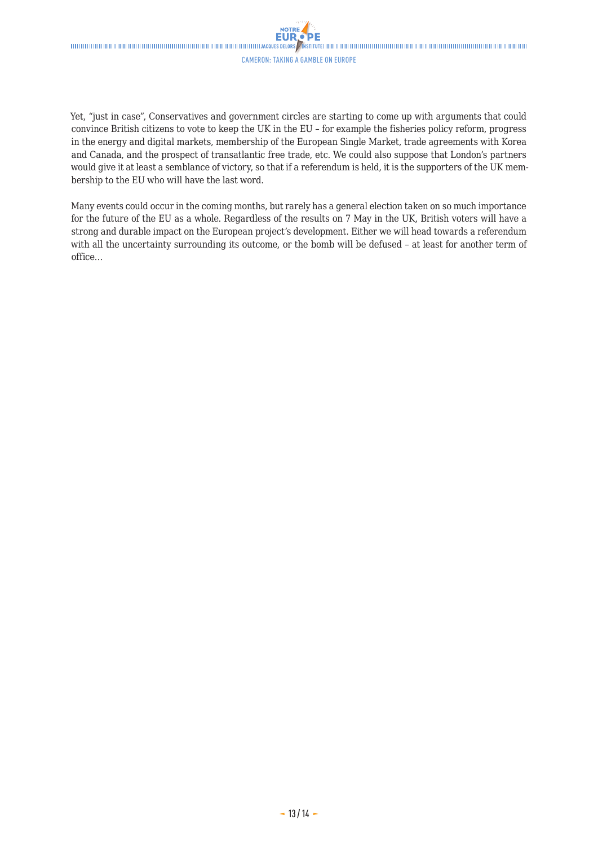#### Cameron: taking a gamble on Europe

**NOTRE** 

Yet, "just in case", Conservatives and government circles are starting to come up with arguments that could convince British citizens to vote to keep the UK in the EU – for example the fisheries policy reform, progress in the energy and digital markets, membership of the European Single Market, trade agreements with Korea and Canada, and the prospect of transatlantic free trade, etc. We could also suppose that London's partners would give it at least a semblance of victory, so that if a referendum is held, it is the supporters of the UK membership to the EU who will have the last word.

Many events could occur in the coming months, but rarely has a general election taken on so much importance for the future of the EU as a whole. Regardless of the results on 7 May in the UK, British voters will have a strong and durable impact on the European project's development. Either we will head towards a referendum with all the uncertainty surrounding its outcome, or the bomb will be defused – at least for another term of office…